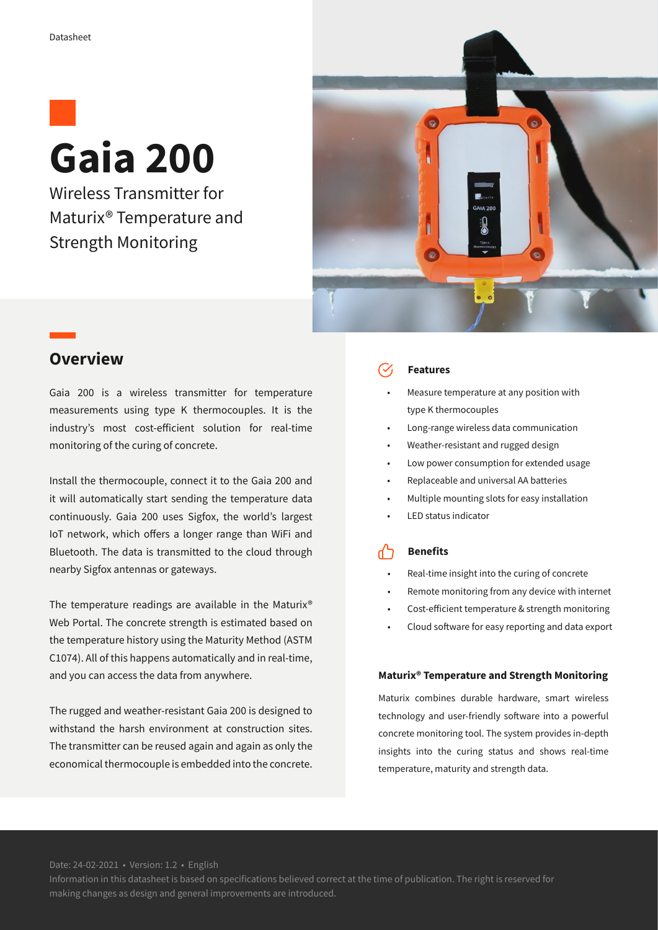

Wireless Transmitter for Maturix® Temperature and Strength Monitoring



## **Overview**

Gaia 200 is a wireless transmitter for temperature measurements using type K thermocouples. It is the industry's most cost-efficient solution for real-time monitoring of the curing of concrete.

Install the thermocouple, connect it to the Gaia 200 and it will automatically start sending the temperature data continuously. Gaia 200 uses Sigfox, the world's largest IoT network, which offers a longer range than WiFi and Bluetooth. The data is transmitted to the cloud through nearby Sigfox antennas or gateways.

The temperature readings are available in the Maturix® Web Portal. The concrete strength is estimated based on the temperature history using the Maturity Method (ASTM C1074). All of this happens automatically and in real-time, and you can access the data from anywhere.

The rugged and weather-resistant Gaia 200 is designed to withstand the harsh environment at construction sites. The transmitter can be reused again and again as only the economical thermocouple is embedded into the concrete.

### **Features**

- Measure temperature at any position with type K thermocouples
- Long-range wireless data communication
- Weather-resistant and rugged design
- Low power consumption for extended usage
- Replaceable and universal AA batteries
- Multiple mounting slots for easy installation
- LED status indicator

#### ፈን **Benefits**

- Real-time insight into the curing of concrete
- Remote monitoring from any device with internet
- Cost-efficient temperature & strength monitoring
- Cloud software for easy reporting and data export

### **Maturix® Temperature and Strength Monitoring**

Maturix combines durable hardware, smart wireless technology and user-friendly software into a powerful concrete monitoring tool. The system provides in-depth insights into the curing status and shows real-time temperature, maturity and strength data.

Date: 24-02-2021 • Version: 1.2 • English

Information in this datasheet is based on specifications believed correct at the time of publication. The right is reserved for making changes as design and general improvements are introduced.